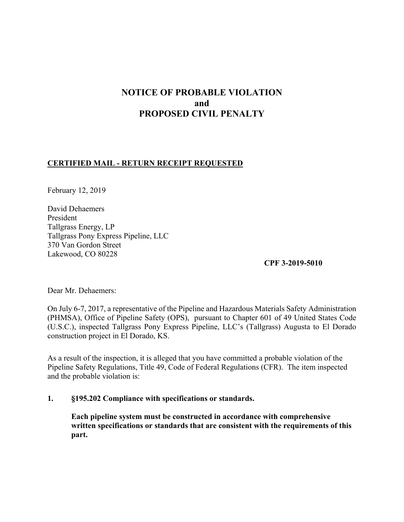# **NOTICE OF PROBABLE VIOLATION and PROPOSED CIVIL PENALTY**

## **CERTIFIED MAIL - RETURN RECEIPT REQUESTED**

February 12, 2019

David Dehaemers President Tallgrass Energy, LP Tallgrass Pony Express Pipeline, LLC 370 Van Gordon Street Lakewood, CO 80228

**CPF 3-2019-5010** 

Dear Mr. Dehaemers:

On July 6-7, 2017, a representative of the Pipeline and Hazardous Materials Safety Administration (PHMSA), Office of Pipeline Safety (OPS), pursuant to Chapter 601 of 49 United States Code (U.S.C.), inspected Tallgrass Pony Express Pipeline, LLC's (Tallgrass) Augusta to El Dorado construction project in El Dorado, KS.

As a result of the inspection, it is alleged that you have committed a probable violation of the Pipeline Safety Regulations, Title 49, Code of Federal Regulations (CFR). The item inspected and the probable violation is:

### **1. §195.202 Compliance with specifications or standards.**

**Each pipeline system must be constructed in accordance with comprehensive written specifications or standards that are consistent with the requirements of this part.**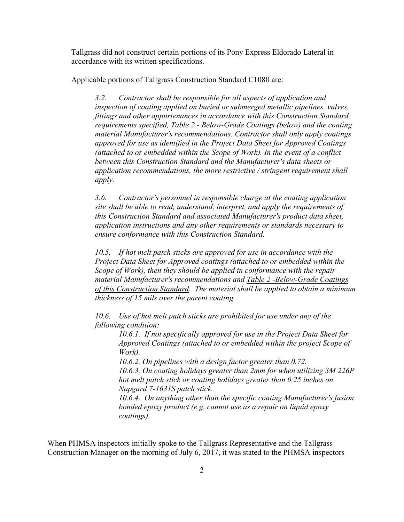Tallgrass did not construct certain portions of its Pony Express Eldorado Lateral in accordance with its written specifications.

Applicable portions of Tallgrass Construction Standard C1080 are:

*3.2. Contractor shall be responsible for all aspects of application and inspection of coating applied on buried or submerged metallic pipelines, valves, fittings and other appurtenances in accordance with this Construction Standard, requirements specified, Table 2 - Below-Grade Coatings (below) and the coating material Manufacturer's recommendations. Contractor shall only apply coatings approved for use as identified in the Project Data Sheet for Approved Coatings (attached to or embedded within the Scope of Work). In the event of a conflict between this Construction Standard and the Manufacturer's data sheets or application recommendations, the more restrictive / stringent requirement shall apply.* 

*3.6. Contractor's personnel in responsible charge at the coating application site shall be able to read, understand, interpret, and apply the requirements of this Construction Standard and associated Manufacturer's product data sheet, application instructions and any other requirements or standards necessary to ensure conformance with this Construction Standard.* 

*10.5. If hot melt patch sticks are approved for use in accordance with the Project Data Sheet for Approved coatings (attached to or embedded within the Scope of Work), then they should be applied in conformance with the repair material Manufacturer's recommendations and Table 2 -Below-Grade Coatings of this Construction Standard. The material shall be applied to obtain a minimum thickness of 15 mils over the parent coating.* 

*10.6. Use of hot melt patch sticks are prohibited for use under any of the following condition:* 

*10.6.1. If not specifically approved for use in the Project Data Sheet for Approved Coatings (attached to or embedded within the project Scope of Work).* 

*10.6.2. On pipelines with a design factor greater than 0.72. 10.6.3. On coating holidays greater than 2mm for when utilizing 3M 226P hot melt patch stick or coating holidays greater than 0.25 inches on Napgard 7-1631S patch stick.* 

*10.6.4. On anything other than the specific coating Manufacturer's fusion bonded epoxy product (e.g. cannot use as a repair on liquid epoxy coatings).* 

When PHMSA inspectors initially spoke to the Tallgrass Representative and the Tallgrass Construction Manager on the morning of July 6, 2017, it was stated to the PHMSA inspectors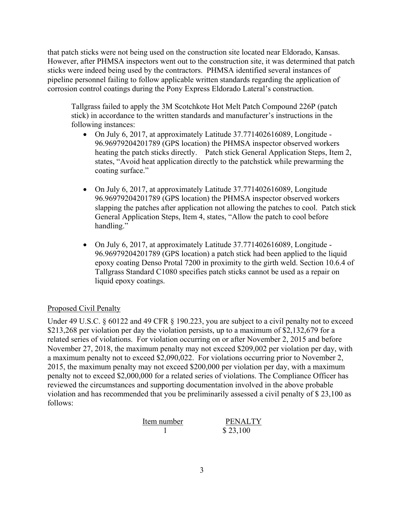that patch sticks were not being used on the construction site located near Eldorado, Kansas. However, after PHMSA inspectors went out to the construction site, it was determined that patch sticks were indeed being used by the contractors. PHMSA identified several instances of pipeline personnel failing to follow applicable written standards regarding the application of corrosion control coatings during the Pony Express Eldorado Lateral's construction.

Tallgrass failed to apply the 3M Scotchkote Hot Melt Patch Compound 226P (patch stick) in accordance to the written standards and manufacturer's instructions in the following instances:

- On July 6, 2017, at approximately Latitude 37.771402616089, Longitude 96.96979204201789 (GPS location) the PHMSA inspector observed workers heating the patch sticks directly. Patch stick General Application Steps, Item 2, states, "Avoid heat application directly to the patchstick while prewarming the coating surface."
- On July 6, 2017, at approximately Latitude 37.771402616089, Longitude 96.96979204201789 (GPS location) the PHMSA inspector observed workers slapping the patches after application not allowing the patches to cool. Patch stick General Application Steps, Item 4, states, "Allow the patch to cool before handling."
- On July 6, 2017, at approximately Latitude 37.771402616089, Longitude 96.96979204201789 (GPS location) a patch stick had been applied to the liquid epoxy coating Denso Protal 7200 in proximity to the girth weld. Section 10.6.4 of Tallgrass Standard C1080 specifies patch sticks cannot be used as a repair on liquid epoxy coatings.

## Proposed Civil Penalty

Under 49 U.S.C. § 60122 and 49 CFR § 190.223, you are subject to a civil penalty not to exceed \$213,268 per violation per day the violation persists, up to a maximum of \$2,132,679 for a related series of violations. For violation occurring on or after November 2, 2015 and before November 27, 2018, the maximum penalty may not exceed \$209,002 per violation per day, with a maximum penalty not to exceed \$2,090,022. For violations occurring prior to November 2, 2015, the maximum penalty may not exceed \$200,000 per violation per day, with a maximum penalty not to exceed \$2,000,000 for a related series of violations. The Compliance Officer has reviewed the circumstances and supporting documentation involved in the above probable violation and has recommended that you be preliminarily assessed a civil penalty of \$ 23,100 as follows:

Item number PENALTY 1 \$ 23,100